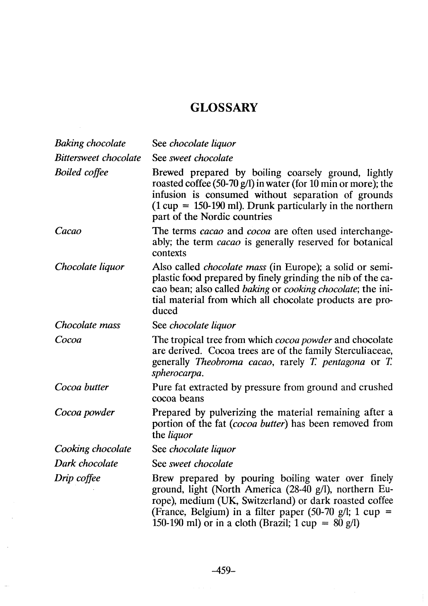## **GLOSSARY**

 $\sim$   $\sim$ 

| <b>Baking chocolate</b> | See chocolate liquor                                                                                                                                                                                                                                                              |
|-------------------------|-----------------------------------------------------------------------------------------------------------------------------------------------------------------------------------------------------------------------------------------------------------------------------------|
| Bittersweet chocolate   | See sweet chocolate                                                                                                                                                                                                                                                               |
| <b>Boiled</b> coffee    | Brewed prepared by boiling coarsely ground, lightly<br>roasted coffee (50-70 $g$ /l) in water (for 10 min or more); the<br>infusion is consumed without separation of grounds<br>$(1 cup = 150-190 ml)$ . Drunk particularly in the northern<br>part of the Nordic countries      |
| Cacao                   | The terms cacao and cocoa are often used interchange-<br>ably; the term <i>cacao</i> is generally reserved for botanical<br>contexts                                                                                                                                              |
| Chocolate liquor        | Also called <i>chocolate mass</i> (in Europe); a solid or semi-<br>plastic food prepared by finely grinding the nib of the ca-<br>cao bean; also called <i>baking</i> or <i>cooking chocolate</i> ; the ini-<br>tial material from which all chocolate products are pro-<br>duced |
| Chocolate mass          | See chocolate liquor                                                                                                                                                                                                                                                              |
| Cocoa                   | The tropical tree from which cocoa powder and chocolate<br>are derived. Cocoa trees are of the family Sterculiaceae,<br>generally <i>Theobroma cacao</i> , rarely <i>T. pentagona</i> or <i>T.</i><br>spherocarpa.                                                                |
| Cocoa butter            | Pure fat extracted by pressure from ground and crushed<br>cocoa beans                                                                                                                                                                                                             |
| Cocoa powder            | Prepared by pulverizing the material remaining after a<br>portion of the fat <i>(cocoa butter)</i> has been removed from<br>the <i>liquor</i>                                                                                                                                     |
| Cooking chocolate       | See chocolate liquor                                                                                                                                                                                                                                                              |
| Dark chocolate          | See sweet chocolate                                                                                                                                                                                                                                                               |
| Drip coffee             | Brew prepared by pouring boiling water over finely<br>ground, light (North America (28-40 g/l), northern Eu-<br>rope), medium (UK, Switzerland) or dark roasted coffee<br>(France, Belgium) in a filter paper (50-70 g/l; 1 cup =                                                 |

150-190 ml) or in a cloth (Brazil;  $1 \text{ cup} = 80 \text{ g/l}$ )